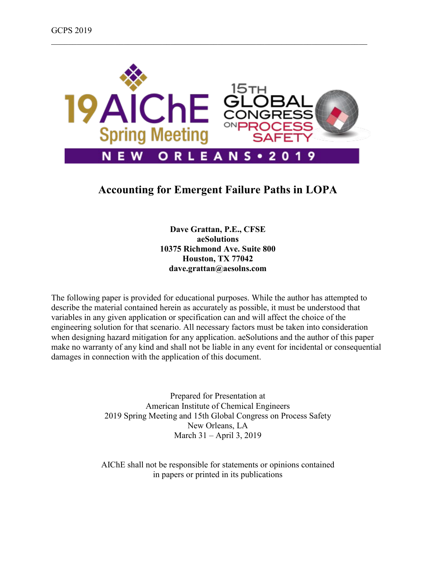

\_\_\_\_\_\_\_\_\_\_\_\_\_\_\_\_\_\_\_\_\_\_\_\_\_\_\_\_\_\_\_\_\_\_\_\_\_\_\_\_\_\_\_\_\_\_\_\_\_\_\_\_\_\_\_\_\_\_\_\_\_\_\_\_\_\_\_\_\_\_\_\_\_\_

# **Accounting for Emergent Failure Paths in LOPA**

**Dave Grattan, P.E., CFSE aeSolutions 10375 Richmond Ave. Suite 800 Houston, TX 77042 dave.grattan@aesolns.com**

The following paper is provided for educational purposes. While the author has attempted to describe the material contained herein as accurately as possible, it must be understood that variables in any given application or specification can and will affect the choice of the engineering solution for that scenario. All necessary factors must be taken into consideration when designing hazard mitigation for any application. aeSolutions and the author of this paper make no warranty of any kind and shall not be liable in any event for incidental or consequential damages in connection with the application of this document.

> Prepared for Presentation at American Institute of Chemical Engineers 2019 Spring Meeting and 15th Global Congress on Process Safety New Orleans, LA March 31 – April 3, 2019

AIChE shall not be responsible for statements or opinions contained in papers or printed in its publications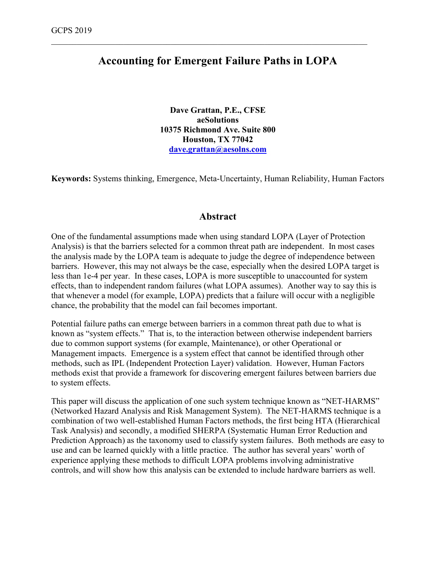# **Accounting for Emergent Failure Paths in LOPA**

\_\_\_\_\_\_\_\_\_\_\_\_\_\_\_\_\_\_\_\_\_\_\_\_\_\_\_\_\_\_\_\_\_\_\_\_\_\_\_\_\_\_\_\_\_\_\_\_\_\_\_\_\_\_\_\_\_\_\_\_\_\_\_\_\_\_\_\_\_\_\_\_\_\_

**Dave Grattan, P.E., CFSE aeSolutions 10375 Richmond Ave. Suite 800 Houston, TX 77042 [dave.grattan@aesolns.com](mailto:dave.grattan@aesolns.com)**

**Keywords:** Systems thinking, Emergence, Meta-Uncertainty, Human Reliability, Human Factors

### **Abstract**

One of the fundamental assumptions made when using standard LOPA (Layer of Protection Analysis) is that the barriers selected for a common threat path are independent. In most cases the analysis made by the LOPA team is adequate to judge the degree of independence between barriers. However, this may not always be the case, especially when the desired LOPA target is less than 1e-4 per year. In these cases, LOPA is more susceptible to unaccounted for system effects, than to independent random failures (what LOPA assumes). Another way to say this is that whenever a model (for example, LOPA) predicts that a failure will occur with a negligible chance, the probability that the model can fail becomes important.

Potential failure paths can emerge between barriers in a common threat path due to what is known as "system effects." That is, to the interaction between otherwise independent barriers due to common support systems (for example, Maintenance), or other Operational or Management impacts. Emergence is a system effect that cannot be identified through other methods, such as IPL (Independent Protection Layer) validation. However, Human Factors methods exist that provide a framework for discovering emergent failures between barriers due to system effects.

This paper will discuss the application of one such system technique known as "NET-HARMS" (Networked Hazard Analysis and Risk Management System). The NET-HARMS technique is a combination of two well-established Human Factors methods, the first being HTA (Hierarchical Task Analysis) and secondly, a modified SHERPA (Systematic Human Error Reduction and Prediction Approach) as the taxonomy used to classify system failures. Both methods are easy to use and can be learned quickly with a little practice. The author has several years' worth of experience applying these methods to difficult LOPA problems involving administrative controls, and will show how this analysis can be extended to include hardware barriers as well.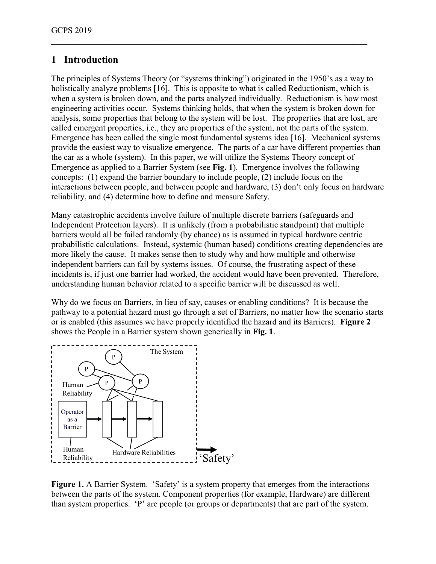# **1 Introduction**

The principles of Systems Theory (or "systems thinking") originated in the 1950's as a way to holistically analyze problems [16]. This is opposite to what is called Reductionism, which is when a system is broken down, and the parts analyzed individually. Reductionism is how most engineering activities occur. Systems thinking holds, that when the system is broken down for analysis, some properties that belong to the system will be lost. The properties that are lost, are called emergent properties, i.e., they are properties of the system, not the parts of the system. Emergence has been called the single most fundamental systems idea [16]. Mechanical systems provide the easiest way to visualize emergence. The parts of a car have different properties than the car as a whole (system). In this paper, we will utilize the Systems Theory concept of Emergence as applied to a Barrier System (see **Fig. 1**). Emergence involves the following concepts: (1) expand the barrier boundary to include people, (2) include focus on the interactions between people, and between people and hardware, (3) don't only focus on hardware reliability, and (4) determine how to define and measure Safety.

\_\_\_\_\_\_\_\_\_\_\_\_\_\_\_\_\_\_\_\_\_\_\_\_\_\_\_\_\_\_\_\_\_\_\_\_\_\_\_\_\_\_\_\_\_\_\_\_\_\_\_\_\_\_\_\_\_\_\_\_\_\_\_\_\_\_\_\_\_\_\_\_\_\_

Many catastrophic accidents involve failure of multiple discrete barriers (safeguards and Independent Protection layers). It is unlikely (from a probabilistic standpoint) that multiple barriers would all be failed randomly (by chance) as is assumed in typical hardware centric probabilistic calculations. Instead, systemic (human based) conditions creating dependencies are more likely the cause. It makes sense then to study why and how multiple and otherwise independent barriers can fail by systems issues. Of course, the frustrating aspect of these incidents is, if just one barrier had worked, the accident would have been prevented. Therefore, understanding human behavior related to a specific barrier will be discussed as well.

Why do we focus on Barriers, in lieu of say, causes or enabling conditions? It is because the pathway to a potential hazard must go through a set of Barriers, no matter how the scenario starts or is enabled (this assumes we have properly identified the hazard and its Barriers). **Figure 2** shows the People in a Barrier system shown generically in **Fig. 1**.



Figure 1. A Barrier System. 'Safety' is a system property that emerges from the interactions between the parts of the system. Component properties (for example, Hardware) are different than system properties. 'P' are people (or groups or departments) that are part of the system.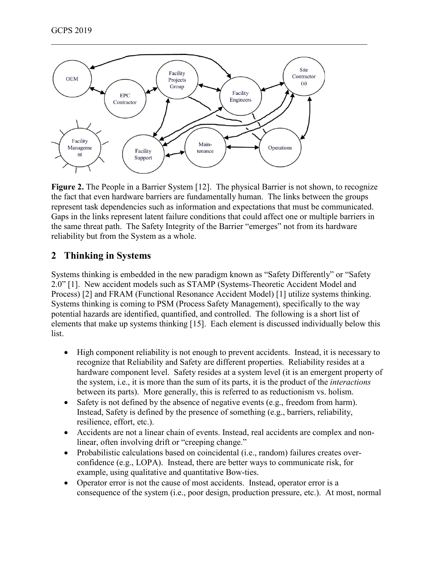

\_\_\_\_\_\_\_\_\_\_\_\_\_\_\_\_\_\_\_\_\_\_\_\_\_\_\_\_\_\_\_\_\_\_\_\_\_\_\_\_\_\_\_\_\_\_\_\_\_\_\_\_\_\_\_\_\_\_\_\_\_\_\_\_\_\_\_\_\_\_\_\_\_\_

**Figure 2.** The People in a Barrier System [12]. The physical Barrier is not shown, to recognize the fact that even hardware barriers are fundamentally human. The links between the groups represent task dependencies such as information and expectations that must be communicated. Gaps in the links represent latent failure conditions that could affect one or multiple barriers in the same threat path. The Safety Integrity of the Barrier "emerges" not from its hardware reliability but from the System as a whole.

# **2 Thinking in Systems**

Systems thinking is embedded in the new paradigm known as "Safety Differently" or "Safety 2.0" [1]. New accident models such as STAMP (Systems-Theoretic Accident Model and Process) [2] and FRAM (Functional Resonance Accident Model) [1] utilize systems thinking. Systems thinking is coming to PSM (Process Safety Management), specifically to the way potential hazards are identified, quantified, and controlled. The following is a short list of elements that make up systems thinking [15]. Each element is discussed individually below this list.

- High component reliability is not enough to prevent accidents. Instead, it is necessary to recognize that Reliability and Safety are different properties. Reliability resides at a hardware component level. Safety resides at a system level (it is an emergent property of the system, i.e., it is more than the sum of its parts, it is the product of the *interactions* between its parts). More generally, this is referred to as reductionism vs. holism.
- Safety is not defined by the absence of negative events (e.g., freedom from harm). Instead, Safety is defined by the presence of something (e.g., barriers, reliability, resilience, effort, etc.).
- Accidents are not a linear chain of events. Instead, real accidents are complex and nonlinear, often involving drift or "creeping change."
- Probabilistic calculations based on coincidental (i.e., random) failures creates overconfidence (e.g., LOPA). Instead, there are better ways to communicate risk, for example, using qualitative and quantitative Bow-ties.
- Operator error is not the cause of most accidents. Instead, operator error is a consequence of the system (i.e., poor design, production pressure, etc.). At most, normal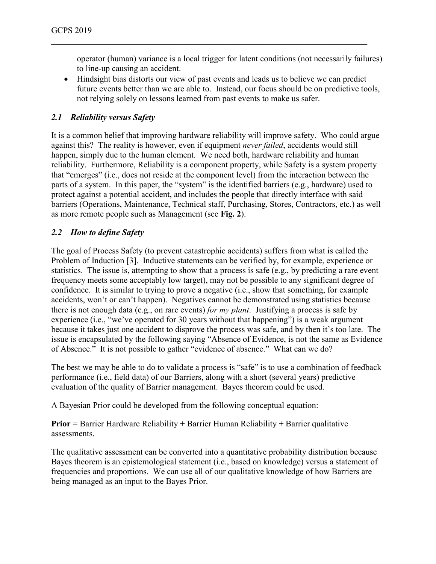operator (human) variance is a local trigger for latent conditions (not necessarily failures) to line-up causing an accident.

• Hindsight bias distorts our view of past events and leads us to believe we can predict future events better than we are able to. Instead, our focus should be on predictive tools, not relying solely on lessons learned from past events to make us safer.

\_\_\_\_\_\_\_\_\_\_\_\_\_\_\_\_\_\_\_\_\_\_\_\_\_\_\_\_\_\_\_\_\_\_\_\_\_\_\_\_\_\_\_\_\_\_\_\_\_\_\_\_\_\_\_\_\_\_\_\_\_\_\_\_\_\_\_\_\_\_\_\_\_\_

#### *2.1 Reliability versus Safety*

It is a common belief that improving hardware reliability will improve safety. Who could argue against this? The reality is however, even if equipment *never failed*, accidents would still happen, simply due to the human element. We need both, hardware reliability and human reliability. Furthermore, Reliability is a component property, while Safety is a system property that "emerges" (i.e., does not reside at the component level) from the interaction between the parts of a system. In this paper, the "system" is the identified barriers (e.g., hardware) used to protect against a potential accident, and includes the people that directly interface with said barriers (Operations, Maintenance, Technical staff, Purchasing, Stores, Contractors, etc.) as well as more remote people such as Management (see **Fig. 2**).

#### *2.2 How to define Safety*

The goal of Process Safety (to prevent catastrophic accidents) suffers from what is called the Problem of Induction [3]. Inductive statements can be verified by, for example, experience or statistics. The issue is, attempting to show that a process is safe (e.g., by predicting a rare event frequency meets some acceptably low target), may not be possible to any significant degree of confidence. It is similar to trying to prove a negative (i.e., show that something, for example accidents, won't or can't happen). Negatives cannot be demonstrated using statistics because there is not enough data (e.g., on rare events) *for my plant*. Justifying a process is safe by experience (i.e., "we've operated for 30 years without that happening") is a weak argument because it takes just one accident to disprove the process was safe, and by then it's too late. The issue is encapsulated by the following saying "Absence of Evidence, is not the same as Evidence of Absence." It is not possible to gather "evidence of absence." What can we do?

The best we may be able to do to validate a process is "safe" is to use a combination of feedback performance (i.e., field data) of our Barriers, along with a short (several years) predictive evaluation of the quality of Barrier management. Bayes theorem could be used.

A Bayesian Prior could be developed from the following conceptual equation:

**Prior** = Barrier Hardware Reliability + Barrier Human Reliability + Barrier qualitative assessments.

The qualitative assessment can be converted into a quantitative probability distribution because Bayes theorem is an epistemological statement (i.e., based on knowledge) versus a statement of frequencies and proportions. We can use all of our qualitative knowledge of how Barriers are being managed as an input to the Bayes Prior.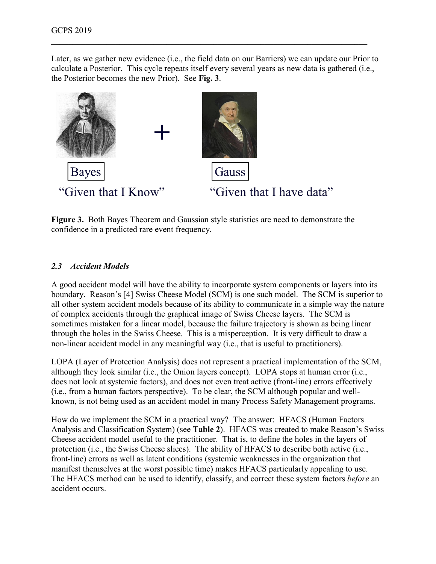Later, as we gather new evidence (i.e., the field data on our Barriers) we can update our Prior to calculate a Posterior. This cycle repeats itself every several years as new data is gathered (i.e., the Posterior becomes the new Prior). See **Fig. 3**.

\_\_\_\_\_\_\_\_\_\_\_\_\_\_\_\_\_\_\_\_\_\_\_\_\_\_\_\_\_\_\_\_\_\_\_\_\_\_\_\_\_\_\_\_\_\_\_\_\_\_\_\_\_\_\_\_\_\_\_\_\_\_\_\_\_\_\_\_\_\_\_\_\_\_



**Figure 3.** Both Bayes Theorem and Gaussian style statistics are need to demonstrate the confidence in a predicted rare event frequency.

#### *2.3 Accident Models*

A good accident model will have the ability to incorporate system components or layers into its boundary. Reason's [4] Swiss Cheese Model (SCM) is one such model. The SCM is superior to all other system accident models because of its ability to communicate in a simple way the nature of complex accidents through the graphical image of Swiss Cheese layers. The SCM is sometimes mistaken for a linear model, because the failure trajectory is shown as being linear through the holes in the Swiss Cheese. This is a misperception. It is very difficult to draw a non-linear accident model in any meaningful way (i.e., that is useful to practitioners).

LOPA (Layer of Protection Analysis) does not represent a practical implementation of the SCM, although they look similar (i.e., the Onion layers concept). LOPA stops at human error (i.e., does not look at systemic factors), and does not even treat active (front-line) errors effectively (i.e., from a human factors perspective). To be clear, the SCM although popular and wellknown, is not being used as an accident model in many Process Safety Management programs.

How do we implement the SCM in a practical way? The answer: HFACS (Human Factors Analysis and Classification System) (see **Table 2**). HFACS was created to make Reason's Swiss Cheese accident model useful to the practitioner. That is, to define the holes in the layers of protection (i.e., the Swiss Cheese slices). The ability of HFACS to describe both active (i.e., front-line) errors as well as latent conditions (systemic weaknesses in the organization that manifest themselves at the worst possible time) makes HFACS particularly appealing to use. The HFACS method can be used to identify, classify, and correct these system factors *before* an accident occurs.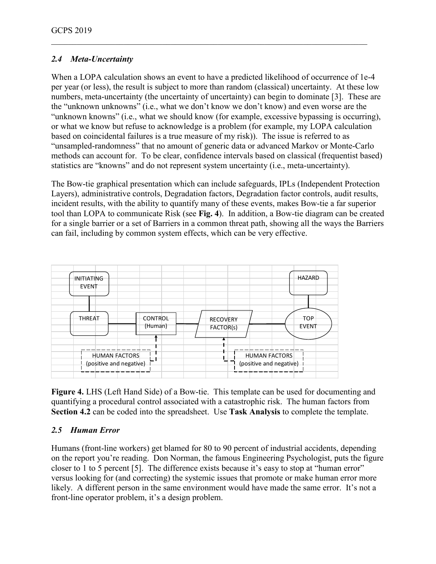### *2.4 Meta-Uncertainty*

When a LOPA calculation shows an event to have a predicted likelihood of occurrence of 1e-4 per year (or less), the result is subject to more than random (classical) uncertainty. At these low numbers, meta-uncertainty (the uncertainty of uncertainty) can begin to dominate [3]. These are the "unknown unknowns" (i.e., what we don't know we don't know) and even worse are the "unknown knowns" (i.e., what we should know (for example, excessive bypassing is occurring), or what we know but refuse to acknowledge is a problem (for example, my LOPA calculation based on coincidental failures is a true measure of my risk)). The issue is referred to as "unsampled-randomness" that no amount of generic data or advanced Markov or Monte-Carlo methods can account for. To be clear, confidence intervals based on classical (frequentist based) statistics are "knowns" and do not represent system uncertainty (i.e., meta-uncertainty).

\_\_\_\_\_\_\_\_\_\_\_\_\_\_\_\_\_\_\_\_\_\_\_\_\_\_\_\_\_\_\_\_\_\_\_\_\_\_\_\_\_\_\_\_\_\_\_\_\_\_\_\_\_\_\_\_\_\_\_\_\_\_\_\_\_\_\_\_\_\_\_\_\_\_

The Bow-tie graphical presentation which can include safeguards, IPLs (Independent Protection Layers), administrative controls, Degradation factors, Degradation factor controls, audit results, incident results, with the ability to quantify many of these events, makes Bow-tie a far superior tool than LOPA to communicate Risk (see **Fig. 4**). In addition, a Bow-tie diagram can be created for a single barrier or a set of Barriers in a common threat path, showing all the ways the Barriers can fail, including by common system effects, which can be very effective.



**Figure 4.** LHS (Left Hand Side) of a Bow-tie. This template can be used for documenting and quantifying a procedural control associated with a catastrophic risk. The human factors from **Section 4.2** can be coded into the spreadsheet. Use **Task Analysis** to complete the template.

### *2.5 Human Error*

Humans (front-line workers) get blamed for 80 to 90 percent of industrial accidents, depending on the report you're reading. Don Norman, the famous Engineering Psychologist, puts the figure closer to 1 to 5 percent [5]. The difference exists because it's easy to stop at "human error" versus looking for (and correcting) the systemic issues that promote or make human error more likely. A different person in the same environment would have made the same error. It's not a front-line operator problem, it's a design problem.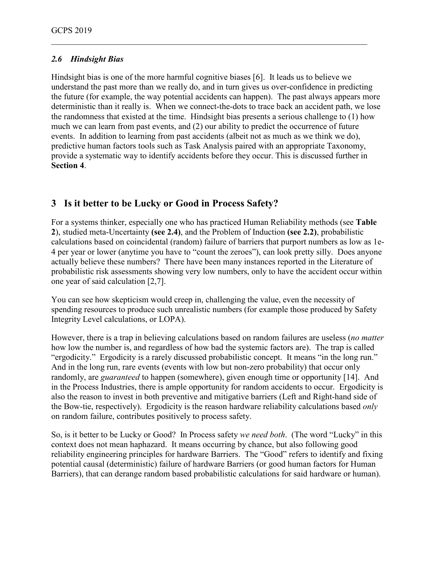### *2.6 Hindsight Bias*

Hindsight bias is one of the more harmful cognitive biases [6]. It leads us to believe we understand the past more than we really do, and in turn gives us over-confidence in predicting the future (for example, the way potential accidents can happen). The past always appears more deterministic than it really is. When we connect-the-dots to trace back an accident path, we lose the randomness that existed at the time. Hindsight bias presents a serious challenge to (1) how much we can learn from past events, and (2) our ability to predict the occurrence of future events. In addition to learning from past accidents (albeit not as much as we think we do), predictive human factors tools such as Task Analysis paired with an appropriate Taxonomy, provide a systematic way to identify accidents before they occur. This is discussed further in **Section 4**.

\_\_\_\_\_\_\_\_\_\_\_\_\_\_\_\_\_\_\_\_\_\_\_\_\_\_\_\_\_\_\_\_\_\_\_\_\_\_\_\_\_\_\_\_\_\_\_\_\_\_\_\_\_\_\_\_\_\_\_\_\_\_\_\_\_\_\_\_\_\_\_\_\_\_

## **3 Is it better to be Lucky or Good in Process Safety?**

For a systems thinker, especially one who has practiced Human Reliability methods (see **Table 2**), studied meta-Uncertainty **(see 2.4)**, and the Problem of Induction **(see 2.2)**, probabilistic calculations based on coincidental (random) failure of barriers that purport numbers as low as 1e-4 per year or lower (anytime you have to "count the zeroes"), can look pretty silly. Does anyone actually believe these numbers? There have been many instances reported in the Literature of probabilistic risk assessments showing very low numbers, only to have the accident occur within one year of said calculation [2,7].

You can see how skepticism would creep in, challenging the value, even the necessity of spending resources to produce such unrealistic numbers (for example those produced by Safety Integrity Level calculations, or LOPA).

However, there is a trap in believing calculations based on random failures are useless (*no matter*  how low the number is, and regardless of how bad the systemic factors are). The trap is called "ergodicity." Ergodicity is a rarely discussed probabilistic concept. It means "in the long run." And in the long run, rare events (events with low but non-zero probability) that occur only randomly, are *guaranteed* to happen (somewhere), given enough time or opportunity [14]. And in the Process Industries, there is ample opportunity for random accidents to occur. Ergodicity is also the reason to invest in both preventive and mitigative barriers (Left and Right-hand side of the Bow-tie, respectively). Ergodicity is the reason hardware reliability calculations based *only* on random failure, contributes positively to process safety.

So, is it better to be Lucky or Good? In Process safety *we need both*. (The word "Lucky" in this context does not mean haphazard. It means occurring by chance, but also following good reliability engineering principles for hardware Barriers. The "Good" refers to identify and fixing potential causal (deterministic) failure of hardware Barriers (or good human factors for Human Barriers), that can derange random based probabilistic calculations for said hardware or human).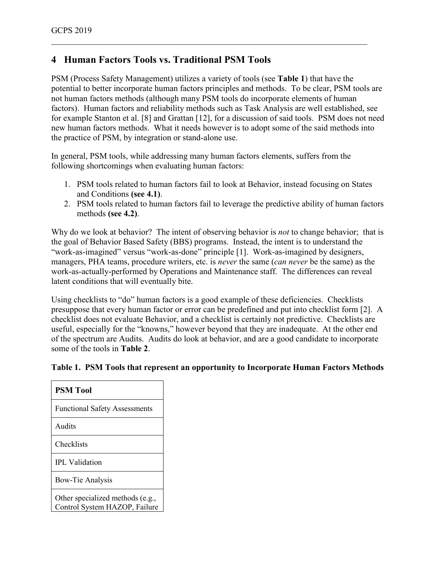# **4 Human Factors Tools vs. Traditional PSM Tools**

PSM (Process Safety Management) utilizes a variety of tools (see **Table 1**) that have the potential to better incorporate human factors principles and methods. To be clear, PSM tools are not human factors methods (although many PSM tools do incorporate elements of human factors). Human factors and reliability methods such as Task Analysis are well established, see for example Stanton et al. [8] and Grattan [12], for a discussion of said tools. PSM does not need new human factors methods. What it needs however is to adopt some of the said methods into the practice of PSM, by integration or stand-alone use.

\_\_\_\_\_\_\_\_\_\_\_\_\_\_\_\_\_\_\_\_\_\_\_\_\_\_\_\_\_\_\_\_\_\_\_\_\_\_\_\_\_\_\_\_\_\_\_\_\_\_\_\_\_\_\_\_\_\_\_\_\_\_\_\_\_\_\_\_\_\_\_\_\_\_

In general, PSM tools, while addressing many human factors elements, suffers from the following shortcomings when evaluating human factors:

- 1. PSM tools related to human factors fail to look at Behavior, instead focusing on States and Conditions **(see 4.1)**.
- 2. PSM tools related to human factors fail to leverage the predictive ability of human factors methods **(see 4.2)**.

Why do we look at behavior? The intent of observing behavior is *not* to change behavior; that is the goal of Behavior Based Safety (BBS) programs. Instead, the intent is to understand the "work-as-imagined" versus "work-as-done" principle [1]. Work-as-imagined by designers, managers, PHA teams, procedure writers, etc. is *never* the same (*can never* be the same) as the work-as-actually-performed by Operations and Maintenance staff. The differences can reveal latent conditions that will eventually bite.

Using checklists to "do" human factors is a good example of these deficiencies. Checklists presuppose that every human factor or error can be predefined and put into checklist form [2]. A checklist does not evaluate Behavior, and a checklist is certainly not predictive. Checklists are useful, especially for the "knowns," however beyond that they are inadequate. At the other end of the spectrum are Audits. Audits do look at behavior, and are a good candidate to incorporate some of the tools in **Table 2**.

#### **Table 1. PSM Tools that represent an opportunity to Incorporate Human Factors Methods**

| <b>PSM Tool</b>                                                   |
|-------------------------------------------------------------------|
| <b>Functional Safety Assessments</b>                              |
| Audits                                                            |
| Checklists                                                        |
| <b>IPL</b> Validation                                             |
| <b>Bow-Tie Analysis</b>                                           |
| Other specialized methods (e.g.,<br>Control System HAZOP, Failure |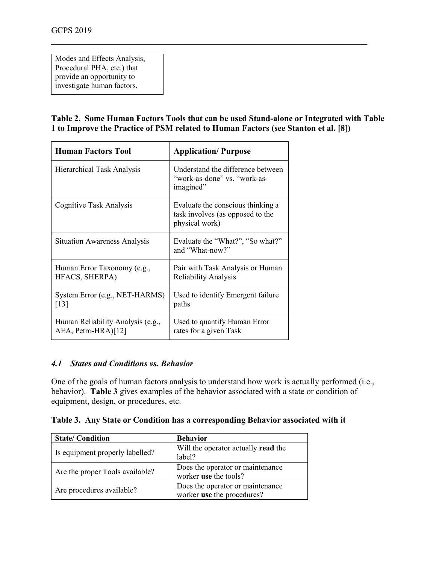Modes and Effects Analysis, Procedural PHA, etc.) that provide an opportunity to investigate human factors.

#### **Table 2. Some Human Factors Tools that can be used Stand-alone or Integrated with Table 1 to Improve the Practice of PSM related to Human Factors (see Stanton et al. [8])**

\_\_\_\_\_\_\_\_\_\_\_\_\_\_\_\_\_\_\_\_\_\_\_\_\_\_\_\_\_\_\_\_\_\_\_\_\_\_\_\_\_\_\_\_\_\_\_\_\_\_\_\_\_\_\_\_\_\_\_\_\_\_\_\_\_\_\_\_\_\_\_\_\_\_

| <b>Human Factors Tool</b>                                | <b>Application/Purpose</b>                                                              |
|----------------------------------------------------------|-----------------------------------------------------------------------------------------|
| Hierarchical Task Analysis                               | Understand the difference between<br>"work-as-done" vs. "work-as-<br>imagined"          |
| Cognitive Task Analysis                                  | Evaluate the conscious thinking a<br>task involves (as opposed to the<br>physical work) |
| <b>Situation Awareness Analysis</b>                      | Evaluate the "What?", "So what?"<br>and "What-now?"                                     |
| Human Error Taxonomy (e.g.,<br>HFACS, SHERPA)            | Pair with Task Analysis or Human<br><b>Reliability Analysis</b>                         |
| System Error (e.g., NET-HARMS)<br>$\lceil 13 \rceil$     | Used to identify Emergent failure<br>paths                                              |
| Human Reliability Analysis (e.g.,<br>AEA, Petro-HRA)[12] | Used to quantify Human Error<br>rates for a given Task                                  |

#### *4.1 States and Conditions vs. Behavior*

One of the goals of human factors analysis to understand how work is actually performed (i.e., behavior). **Table 3** gives examples of the behavior associated with a state or condition of equipment, design, or procedures, etc.

**Table 3. Any State or Condition has a corresponding Behavior associated with it**

| <b>State/Condition</b>          | <b>Behavior</b>                                                |
|---------------------------------|----------------------------------------------------------------|
| Is equipment properly labelled? | Will the operator actually <b>read</b> the<br>label?           |
| Are the proper Tools available? | Does the operator or maintenance<br>worker use the tools?      |
| Are procedures available?       | Does the operator or maintenance<br>worker use the procedures? |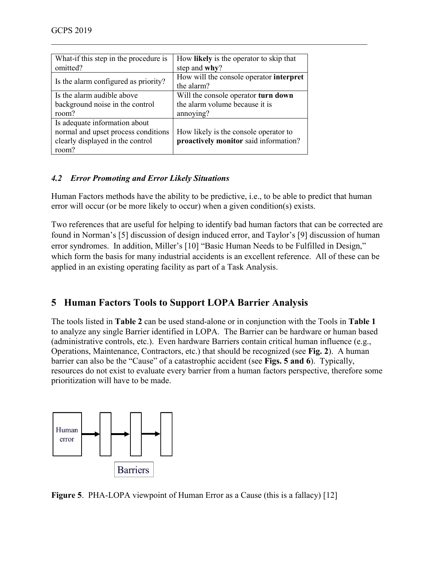| What-if this step in the procedure is | How likely is the operator to skip that |
|---------------------------------------|-----------------------------------------|
| omitted?                              | step and why?                           |
| Is the alarm configured as priority?  | How will the console operator interpret |
|                                       | the alarm?                              |
| Is the alarm audible above            | Will the console operator turn down     |
| background noise in the control       | the alarm volume because it is          |
| room?                                 | annoying?                               |
| Is adequate information about         |                                         |
| normal and upset process conditions   | How likely is the console operator to   |
| clearly displayed in the control      | proactively monitor said information?   |
| room?                                 |                                         |

### *4.2 Error Promoting and Error Likely Situations*

Human Factors methods have the ability to be predictive, i.e., to be able to predict that human error will occur (or be more likely to occur) when a given condition(s) exists.

\_\_\_\_\_\_\_\_\_\_\_\_\_\_\_\_\_\_\_\_\_\_\_\_\_\_\_\_\_\_\_\_\_\_\_\_\_\_\_\_\_\_\_\_\_\_\_\_\_\_\_\_\_\_\_\_\_\_\_\_\_\_\_\_\_\_\_\_\_\_\_\_\_\_

Two references that are useful for helping to identify bad human factors that can be corrected are found in Norman's [5] discussion of design induced error, and Taylor's [9] discussion of human error syndromes. In addition, Miller's [10] "Basic Human Needs to be Fulfilled in Design," which form the basis for many industrial accidents is an excellent reference. All of these can be applied in an existing operating facility as part of a Task Analysis.

# **5 Human Factors Tools to Support LOPA Barrier Analysis**

The tools listed in **Table 2** can be used stand-alone or in conjunction with the Tools in **Table 1** to analyze any single Barrier identified in LOPA. The Barrier can be hardware or human based (administrative controls, etc.). Even hardware Barriers contain critical human influence (e.g., Operations, Maintenance, Contractors, etc.) that should be recognized (see **Fig. 2**). A human barrier can also be the "Cause" of a catastrophic accident (see **Figs. 5 and 6**). Typically, resources do not exist to evaluate every barrier from a human factors perspective, therefore some prioritization will have to be made.



**Figure 5**. PHA-LOPA viewpoint of Human Error as a Cause (this is a fallacy) [12]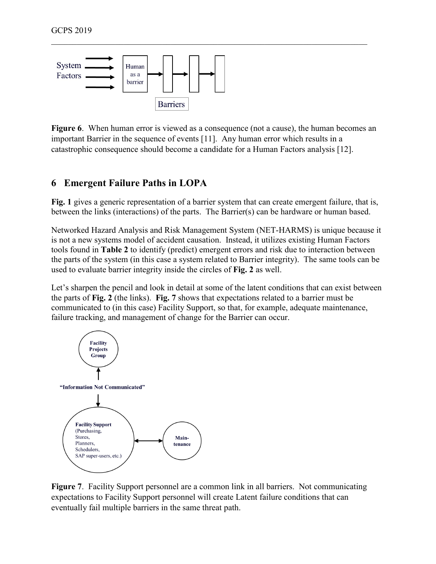

**Figure 6**. When human error is viewed as a consequence (not a cause), the human becomes an important Barrier in the sequence of events [11]. Any human error which results in a catastrophic consequence should become a candidate for a Human Factors analysis [12].

\_\_\_\_\_\_\_\_\_\_\_\_\_\_\_\_\_\_\_\_\_\_\_\_\_\_\_\_\_\_\_\_\_\_\_\_\_\_\_\_\_\_\_\_\_\_\_\_\_\_\_\_\_\_\_\_\_\_\_\_\_\_\_\_\_\_\_\_\_\_\_\_\_\_

# **6 Emergent Failure Paths in LOPA**

**Fig. 1** gives a generic representation of a barrier system that can create emergent failure, that is, between the links (interactions) of the parts. The Barrier(s) can be hardware or human based.

Networked Hazard Analysis and Risk Management System (NET-HARMS) is unique because it is not a new systems model of accident causation. Instead, it utilizes existing Human Factors tools found in **Table 2** to identify (predict) emergent errors and risk due to interaction between the parts of the system (in this case a system related to Barrier integrity). The same tools can be used to evaluate barrier integrity inside the circles of **Fig. 2** as well.

Let's sharpen the pencil and look in detail at some of the latent conditions that can exist between the parts of **Fig. 2** (the links). **Fig. 7** shows that expectations related to a barrier must be communicated to (in this case) Facility Support, so that, for example, adequate maintenance, failure tracking, and management of change for the Barrier can occur.



**Figure 7**. Facility Support personnel are a common link in all barriers. Not communicating expectations to Facility Support personnel will create Latent failure conditions that can eventually fail multiple barriers in the same threat path.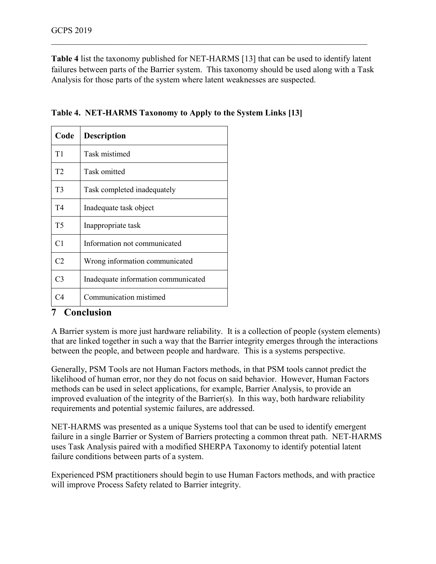**Table 4** list the taxonomy published for NET-HARMS [13] that can be used to identify latent failures between parts of the Barrier system. This taxonomy should be used along with a Task Analysis for those parts of the system where latent weaknesses are suspected.

\_\_\_\_\_\_\_\_\_\_\_\_\_\_\_\_\_\_\_\_\_\_\_\_\_\_\_\_\_\_\_\_\_\_\_\_\_\_\_\_\_\_\_\_\_\_\_\_\_\_\_\_\_\_\_\_\_\_\_\_\_\_\_\_\_\_\_\_\_\_\_\_\_\_

| Code           | <b>Description</b>                  |
|----------------|-------------------------------------|
| T1             | Task mistimed                       |
| T <sub>2</sub> | Task omitted                        |
| T3             | Task completed inadequately         |
| T4             | Inadequate task object              |
| T5             | Inappropriate task                  |
| C <sub>1</sub> | Information not communicated        |
| C <sub>2</sub> | Wrong information communicated      |
| C <sub>3</sub> | Inadequate information communicated |
| $\mathsf{C4}$  | Communication mistimed              |

| Table 4. NET-HARMS Taxonomy to Apply to the System Links [13] |  |  |  |
|---------------------------------------------------------------|--|--|--|
|                                                               |  |  |  |

### **7 Conclusion**

A Barrier system is more just hardware reliability. It is a collection of people (system elements) that are linked together in such a way that the Barrier integrity emerges through the interactions between the people, and between people and hardware. This is a systems perspective.

Generally, PSM Tools are not Human Factors methods, in that PSM tools cannot predict the likelihood of human error, nor they do not focus on said behavior. However, Human Factors methods can be used in select applications, for example, Barrier Analysis, to provide an improved evaluation of the integrity of the Barrier(s). In this way, both hardware reliability requirements and potential systemic failures, are addressed.

NET-HARMS was presented as a unique Systems tool that can be used to identify emergent failure in a single Barrier or System of Barriers protecting a common threat path. NET-HARMS uses Task Analysis paired with a modified SHERPA Taxonomy to identify potential latent failure conditions between parts of a system.

Experienced PSM practitioners should begin to use Human Factors methods, and with practice will improve Process Safety related to Barrier integrity.